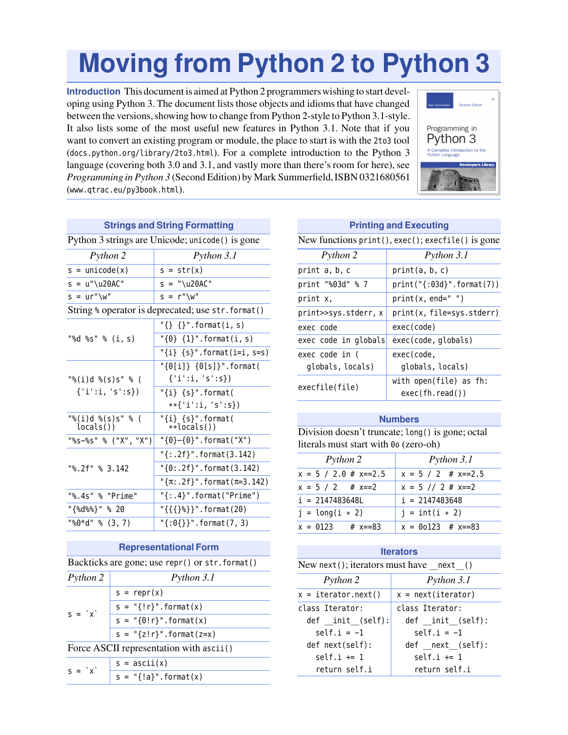# **Moving from Python 2 to Python 3**

**Introduction** This document is aimed at Python 2 programmers wishing to start developing using Python 3. The document lists those objects and idioms that have changed between the versions, showing how to change from Python 2-style to Python 3.1-style. It also lists some of the most useful new features in Python 3.1. Note that if you want to convert an existing program or module, the place to start is with the 2to3 tool ([docs.python.org/library/2to3.html](http://docs.python.org/library/2to3.html)). For a complete introduction to the Python 3 language (covering both 3.0 and 3.1, and vastly more than there's room for here), see *Programming in Python 3* (Second Edition) by Mark Summerfield, ISBN 0321680561 ([www.qtrac.eu/py3book.html](http://www.qtrac.eu/py3book.html)).



| <b>Strings and String Formatting</b>            |                                                    |  |
|-------------------------------------------------|----------------------------------------------------|--|
| Python 3 strings are Unicode; unicode() is gone |                                                    |  |
| Python 2                                        | Python 3.1                                         |  |
| $s = unicode(x)$                                | $s = str(x)$                                       |  |
| $s = u''\u20AC''$                               | $s = " \u20AC"$                                    |  |
| $s = ur''\wedge w''$                            | $s = r''\wedge w''$                                |  |
|                                                 | String % operator is deprecated; use str. format() |  |
|                                                 | "{} $\{\}$ ".format(i, s)                          |  |
| "%d %s" % (i, s)                                | " ${0}$ ${1}$ ".format(i, s)                       |  |
|                                                 | " $\{i\}$ $\{s\}$ ".format(i=i, s=s)               |  |
|                                                 | " ${0[i]} { 0[s]}$ ".format(                       |  |
| "%(i)d %(s)s" % (                               | ${'i':i,'s':s}$                                    |  |
| ${'i':i,'s':s}$                                 | " $\{i\}$ $\{s\}$ ".format(                        |  |
|                                                 | $**{'i':i,'s':s'}$                                 |  |
| "%(i)d %(s)s" % (<br>locals()                   | " $\{i\}$ $\{s\}$ ".format(<br>**locals())         |  |
| "%s-%s" % ("X", "X")                            | $"{0}-{0}"$ .format("X")                           |  |
|                                                 | " $\{-.2f\}$ ".format $(3.142)$                    |  |
| "%.2f" % 3.142                                  | $"\{0:.2f\}"$ .format $(3.142)$                    |  |
|                                                 | " $\{\pi: .2f\}$ ".format $(\pi=3.142)$            |  |
| "%.4s" % "Prime"                                | " $\{: .4\}$ ".format("Prime")                     |  |
| "{%d%%}" % 20                                   | " $\{\{\{\}\}\$ ".format(20)                       |  |
| "%0*d" % $(3, 7)$                               | " $\{:\theta\{\}\}$ ".format(7, 3)                 |  |

| <b>Representational Form</b> |                                                 |  |
|------------------------------|-------------------------------------------------|--|
|                              | Backticks are gone; use repr() or str. format() |  |
| Python 2                     | Python 3.1                                      |  |
|                              |                                                 |  |

|                                         | $s = repr(x)$             |  |
|-----------------------------------------|---------------------------|--|
| $S = \lambda X$                         | $s = "{}' r ".format(x)$  |  |
|                                         | $s = "{0:r}$ . format(x)  |  |
|                                         | $s = "{z!r}".format(z=x)$ |  |
| Force ASCII representation with ascii() |                           |  |
| $s = \text{ascii}(x)$<br>$S = 'x'$      |                           |  |
|                                         | $s = "{}'s$ . format(x)   |  |

| <b>Printing and Executing</b> |  |  |
|-------------------------------|--|--|
|-------------------------------|--|--|

| New functions print(), exec(); execfile() is gone |                                           |  |
|---------------------------------------------------|-------------------------------------------|--|
| Python 2                                          | Python 3.1                                |  |
| print a, b, c                                     | print(a, b, c)                            |  |
| print "%03d" % 7                                  | $print("{}:03d}".format(7))$              |  |
| print x,                                          | $print(x, end=" " )$                      |  |
| print>>sys.stderr, x                              | $print(x, file = sys.stdout)$             |  |
| exec code                                         | exec(code)                                |  |
| exec code in globals                              | exec(code, globals)                       |  |
| exec code in (                                    | exec(code,                                |  |
| globals, locals)                                  | globals, locals)                          |  |
| execfile(file)                                    | with open(file) as fh:<br>exec(fh.read()) |  |

### **Numbers**

Division doesn't truncate; long() is gone; octal literals must start with 0o (zero-oh)

| Python 2                 | Python 3.1               |
|--------------------------|--------------------------|
| $x = 5 / 2.0 # x == 2.5$ | $x = 5 / 2$ # $x == 2.5$ |
| $x = 5 / 2$ # $x == 2$   | $x = 5$ // 2 # $x == 2$  |
| $i = 2147483648L$        | $i = 2147483648$         |
| $i =$ long(i $*$ 2)      | $j = int(i * 2)$         |
| $x = 0123$ # $x == 83$   | $x = 00123$ # $x == 83$  |

| <b>Iterators</b>                        |                      |  |
|-----------------------------------------|----------------------|--|
| New next(); iterators must have next () |                      |  |
| Python 2<br>Python 3.1                  |                      |  |
| x = iterator.next()                     | $x = next(iterator)$ |  |
| class Iterator:                         | class Iterator:      |  |
| def init (self):                        | def init (self):     |  |
| $self.i = -1$                           | $self.i = -1$        |  |
| def next(self):                         | def next (self):     |  |
| $self.i += 1$                           | self. $i \neq 1$     |  |
| return self.i                           | return self.i        |  |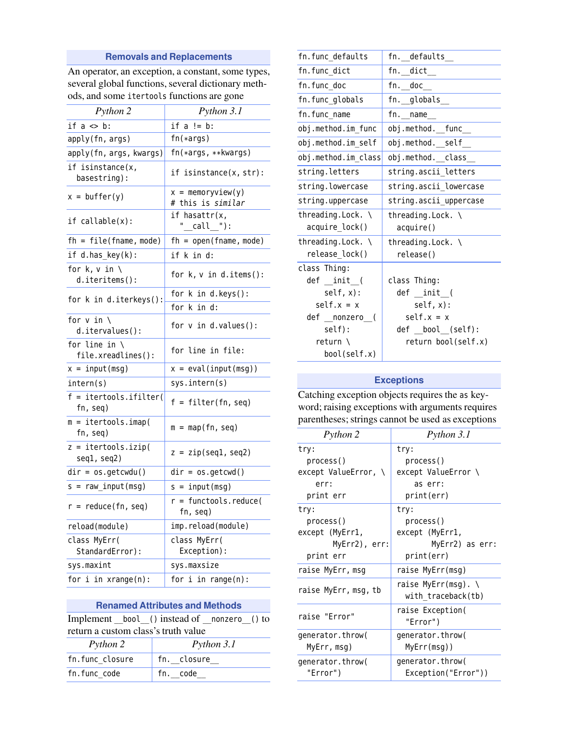## **Removals and Replacements**

An operator, an exception, a constant, some types, several global functions, several dictionary methods, and some itertools functions are gone

| Python 2                                        | Python 3.1                                      |
|-------------------------------------------------|-------------------------------------------------|
| if $a \Leftrightarrow b$ :                      | if a != b:                                      |
| apply(fn, args)                                 | $fn(*args)$                                     |
| apply(fn, args, kwargs)                         | fn(*args, **kwargs)                             |
| if isinstance(x,<br>basestring):                | if isinstance(x, str):                          |
| $x = buffer(y)$                                 | $x = \text{memoryview}(y)$<br># this is similar |
| if callable(x):                                 | if hasattr(x,<br>$catl$ "):                     |
| $fh = file(fname, mode)$                        | $fh = open(fname, mode)$                        |
| $if d.has_{ky}(k):$                             | if k in d:                                      |
| for $k, v$ in $\setminus$<br>$d.iteritems()$ :  | for $k, v$ in $d.$ items $()$ :                 |
| for k in d.iterkeys():                          | for $k$ in $d.keys()$ :                         |
|                                                 | for k in d:                                     |
| for $v$ in $\setminus$<br>d.itervalues():       | for $v$ in d.values():                          |
| for line in $\setminus$<br>file.xreadlines():   | for line in file:                               |
| $x = input(msg)$                                | $x = eval(input(msg))$                          |
| intern(s)                                       | sys.intern(s)                                   |
| $f =$ itertools.ifilter(<br>fn, seq)            | $f = filter(fn, seq)$                           |
| $m = itertools.time($<br>fn, seq)               | $m = map(fn, seq)$                              |
| $\overline{z}$ = itertools.izip(<br>seq1, seq2) | $z = zip(seq1, seq2)$                           |
| $dir = os.getcwdu()$                            | dir = os.getcwd()                               |
| $s = raw input(msg)$                            | $s = input(msg)$                                |
| $r =$ reduce(fn, seq)                           | $r =$ functools.reduce(<br>fn, seq)             |
| reload(module)                                  | imp.reload(module)                              |
| class MyErr(<br>StandardError):                 | class MyErr(<br>Exception):                     |
| sys.maxint                                      | sys.maxsize                                     |
| for $i$ in $x$ range $(n)$ :                    | for $i$ in range $(n)$ :                        |

|                                     |  | <b>Renamed Attributes and Methods</b>      |  |
|-------------------------------------|--|--------------------------------------------|--|
|                                     |  | Implement bool () instead of nonzero () to |  |
| return a custom class's truth value |  |                                            |  |
|                                     |  |                                            |  |

| Python 2        | Python 3.1  |
|-----------------|-------------|
| fn.func closure | fn. closure |
| fn.func code    | fn. code    |

| fn.func defaults                               | fn. defaults                    |
|------------------------------------------------|---------------------------------|
| fn.func dict                                   | fn. dict                        |
| fn.func doc                                    | fn. doc                         |
| fn.func globals                                | fn. globals                     |
| fn.func name                                   | fn. name                        |
| obj.method.im_func                             | obj.method._func_               |
| obj.method.im self                             | obj.method. self                |
| obj.method.im class                            | obj.method. class               |
| string.letters                                 | string.ascii letters            |
| string.lowercase                               | string.ascii lowercase          |
| string.uppercase                               | string.ascii uppercase          |
| threading. Lock. $\setminus$<br>acquire_lock() | threading. Lock. \<br>acquire() |
|                                                |                                 |
| threading. Lock. \                             | threading. Lock. $\setminus$    |
| release lock()                                 | release()                       |
| class Thing:                                   |                                 |
| def _init (                                    | class Thing:                    |
| self, x):                                      | def __init_(                    |
| $self.x = x$                                   | $self, x)$ :                    |
| def nonzero (                                  | $self.x = x$                    |
| self):                                         | def __bool__(self):             |
| return <sub>1</sub>                            | return bool(self.x)             |
| bool(self.x)                                   |                                 |

## **Exceptions**

Catching exception objects requires the as keyword; raising exceptions with arguments requires parentheses; strings cannot be used as exceptions

| Python 3.1                                |
|-------------------------------------------|
| try:                                      |
| process()                                 |
| except ValueError \                       |
| as err:                                   |
| print(err)                                |
| try:                                      |
| process()                                 |
| except (MyErr1,                           |
| MyErr2) as err:                           |
| print(err)                                |
| raise MyErr(msg)                          |
| raise MyErr(msg). \<br>with traceback(tb) |
| raise Exception(<br>"Error")              |
| generator.throw(                          |
| MyErr(msq))                               |
| generator.throw(                          |
| Exception("Error"))                       |
|                                           |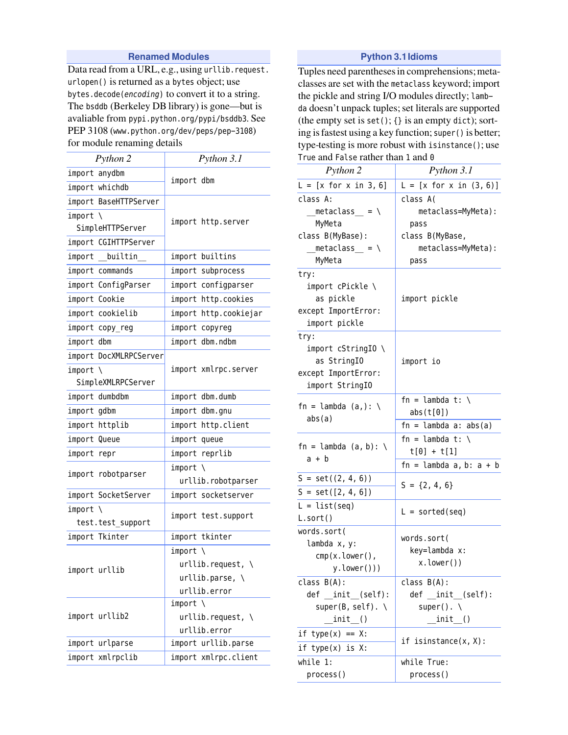### **Renamed Modules**

Data read from a URL, e.g., using urllib. request. urlopen() is returned as a bytes object; use bytes.decode(encoding) to convert it to a string. The bsddb (Berkeley DB library) is gone—but is avaliable from [pypi.python.org/pypi/bsddb3](http://pypi.python.org/pypi/bsddb3). See PEP 3108 ([www.python.org/dev/peps/pep-3108](http://www.python.org/dev/peps/pep-3108)) for module renaming details

| Python 2               | Python 3.1                          |
|------------------------|-------------------------------------|
| import anydbm          | import dbm                          |
| import whichdb         |                                     |
| import BaseHTTPServer  |                                     |
| $import \setminus$     | import http.server                  |
| SimpleHTTPServer       |                                     |
| import CGIHTTPServer   |                                     |
| import builtin         | import builtins                     |
| import commands        | import subprocess                   |
| import ConfigParser    | import configparser                 |
| import Cookie          | import http.cookies                 |
| import cookielib       | import http.cookiejar               |
| import copy reg        | import copyreg                      |
| import<br>dbm          | dbm.ndbm<br>import                  |
| import DocXMLRPCServer |                                     |
| $import \setminus$     | import xmlrpc.server                |
| SimpleXMLRPCServer     |                                     |
| import dumbdbm         | import dbm.dumb                     |
| import gdbm            | import dbm.gnu                      |
| import httplib         | import http.client                  |
| import Queue           | import queue                        |
| import repr            | import reprlib                      |
| import robotparser     | $import \setminus$                  |
|                        | urllib.robotparser                  |
| import SocketServer    | import socketserver                 |
| $import \setminus$     | import test.support                 |
| test.test support      |                                     |
| import Tkinter         | import tkinter                      |
|                        | $import \setminus$                  |
| import urllib          | $urllib.request, \setminus$         |
|                        | $urlib.parse, \setminus$            |
|                        | urllib.error                        |
| import urllib2         | $import \setminus$                  |
|                        | $urllib.request, \setminus$         |
| import urlparse        | urllib.error<br>import urllib.parse |
| import xmlrpclib       |                                     |
|                        | import xmlrpc.client                |

## **Python 3.1Idioms**

Tuples need parentheses in comprehensions; metaclasses are set with the metaclass keyword; import the pickle and string I/O modules directly; lambda doesn't unpack tuples; set literals are supported (the empty set is set(); {} is an empty dict); sorting is fastest using a key function; super() is better; type-testing is more robust with isinstance(); use True and False rather than 1 and 0

| Python 2                          | Python 3.1                  |
|-----------------------------------|-----------------------------|
| $L = [x for x in 3, 6]$           | $L = [x for x in (3, 6)]$   |
| class A:                          | class A(                    |
| $metaclass$ = \                   | metaclass=MyMeta):          |
| MyMeta                            | pass                        |
| class B(MyBase):                  | class B(MyBase,             |
| $metaclass$ = \                   | metaclass=MyMeta):          |
| MyMeta                            | pass                        |
| try:                              |                             |
| import cPickle \                  |                             |
| as pickle                         | import pickle               |
| except ImportError:               |                             |
| import pickle                     |                             |
| try:                              |                             |
| import cStringIO \                |                             |
| as StringIO                       | import io                   |
| except ImportError:               |                             |
| import StringI0                   |                             |
| fn = lambda $(a,): \setminus$     | fn = lambda t: $\setminus$  |
| abs(a)                            | abs(t[0])                   |
|                                   | $fn =$ lambda a: abs(a)     |
| fn = lambda $(a, b)$ : \<br>a + b | fn = lambda t: $\setminus$  |
|                                   | $t[0] + t[1]$               |
|                                   | $fn =$ lambda a, b: $a + b$ |
| $S = set((2, 4, 6))$              | $S = \{2, 4, 6\}$           |
| $S = set([2, 4, 6])$              |                             |
| $L = list(seq)$                   | $L = sorted (seq)$          |
| L.sort()                          |                             |
| words.sort(                       | words.sort(                 |
| lambda x, y:                      | key=lambda x:               |
| $cmp(x.lower()$ ,                 | x.lower()                   |
| y.lower()))                       |                             |
| class $B(A)$ :                    | class B(A):                 |
| def _init_(self):                 | def _init_(self):           |
| $super(B, self)$ . \<br>init ()   | $super()$ . \<br>init ()    |
|                                   |                             |
| if $type(x) == X$ :               | if isinstance $(x, X)$ :    |
| if $type(x)$ is $X$ :             |                             |
| while 1:                          | while True:                 |
| process()                         | process()                   |